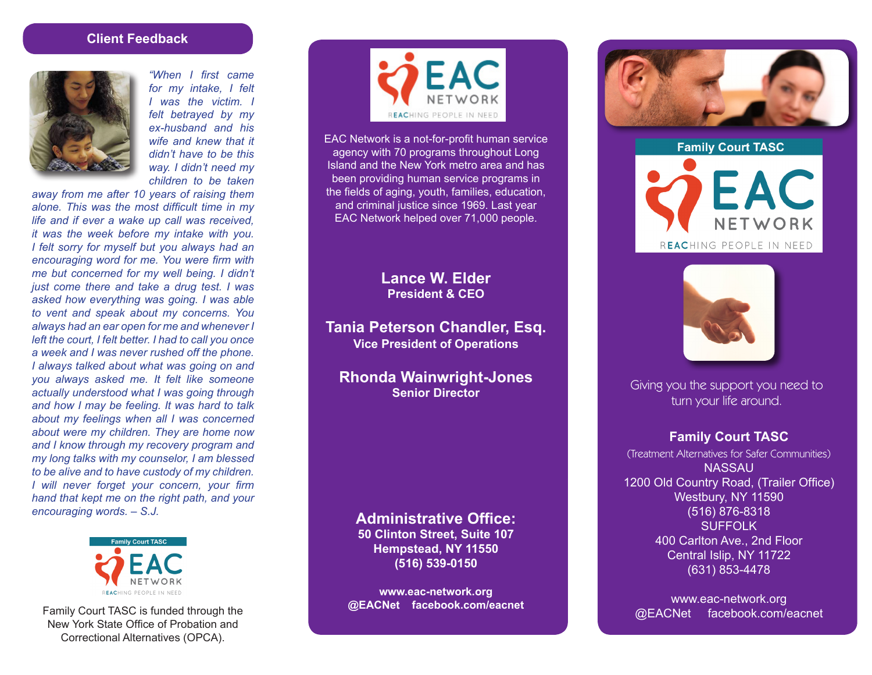#### **Client Feedback**



*"When I first came for my intake, I felt I was the victim. I felt betrayed by my ex-husband and his wife and knew that it didn't have to be this way. I didn't need my children to be taken* 

*away from me after 10 years of raising them alone. This was the most difficult time in my life and if ever a wake up call was received, it was the week before my intake with you. I felt sorry for myself but you always had an encouraging word for me. You were firm with me but concerned for my well being. I didn't just come there and take a drug test. I was asked how everything was going. I was able to vent and speak about my concerns. You always had an ear open for me and whenever I left the court, I felt better. I had to call you once a week and I was never rushed off the phone. I always talked about what was going on and you always asked me. It felt like someone actually understood what I was going through and how I may be feeling. It was hard to talk about my feelings when all I was concerned about were my children. They are home now and I know through my recovery program and my long talks with my counselor, I am blessed to be alive and to have custody of my children. I will never forget your concern, your firm hand that kept me on the right path, and your encouraging words. – S.J.*



Family Court TASC is funded through the New York State Office of Probation and Correctional Alternatives (OPCA).



EAC Network is a not-for-profit human service agency with 70 programs throughout Long Island and the New York metro area and has been providing human service programs in the fields of aging, youth, families, education, and criminal justice since 1969. Last year EAC Network helped over 71,000 people.

## **Lance W. Elder President & CEO**

**Tania Peterson Chandler, Esq. Vice President of Operations**

**Rhonda Wainwright-Jones Senior Director**

**Administrative Office: 50 Clinton Street, Suite 107**

**Hempstead, NY 11550 (516) 539-0150**

**www.eac-network.org @EACNet facebook.com/eacnet**



**Family Court TASC** 

FAC NETWORK REACHING PEOPLE IN NEED



Giving you the support you need to turn your life around.

#### **Family Court TASC**

(Treatment Alternatives for Safer Communities) NASSAU 1200 Old Country Road, (Trailer Office) Westbury, NY 11590 (516) 876-8318 SUFFOLK 400 Carlton Ave., 2nd Floor Central Islip, NY 11722 (631) 853-4478

www.eac-network.org @EACNet facebook.com/eacnet